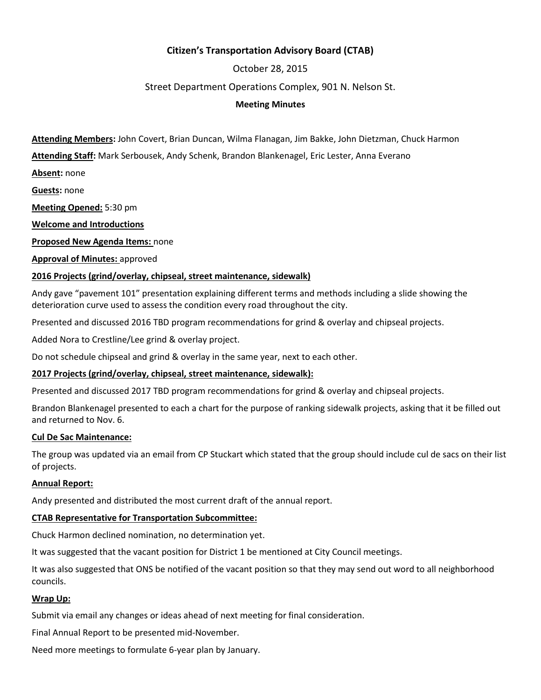## **Citizen's Transportation Advisory Board (CTAB)**

# October 28, 2015

### Street Department Operations Complex, 901 N. Nelson St.

### **Meeting Minutes**

**Attending Members:** John Covert, Brian Duncan, Wilma Flanagan, Jim Bakke, John Dietzman, Chuck Harmon

**Attending Staff:** Mark Serbousek, Andy Schenk, Brandon Blankenagel, Eric Lester, Anna Everano

**Absent:** none

**Guests:** none

**Meeting Opened:** 5:30 pm

**Welcome and Introductions**

**Proposed New Agenda Items:** none

**Approval of Minutes:** approved

### **2016 Projects (grind/overlay, chipseal, street maintenance, sidewalk)**

Andy gave "pavement 101" presentation explaining different terms and methods including a slide showing the deterioration curve used to assess the condition every road throughout the city.

Presented and discussed 2016 TBD program recommendations for grind & overlay and chipseal projects.

Added Nora to Crestline/Lee grind & overlay project.

Do not schedule chipseal and grind & overlay in the same year, next to each other.

### **2017 Projects (grind/overlay, chipseal, street maintenance, sidewalk):**

Presented and discussed 2017 TBD program recommendations for grind & overlay and chipseal projects.

Brandon Blankenagel presented to each a chart for the purpose of ranking sidewalk projects, asking that it be filled out and returned to Nov. 6.

#### **Cul De Sac Maintenance:**

The group was updated via an email from CP Stuckart which stated that the group should include cul de sacs on their list of projects.

### **Annual Report:**

Andy presented and distributed the most current draft of the annual report.

### **CTAB Representative for Transportation Subcommittee:**

Chuck Harmon declined nomination, no determination yet.

It was suggested that the vacant position for District 1 be mentioned at City Council meetings.

It was also suggested that ONS be notified of the vacant position so that they may send out word to all neighborhood councils.

### **Wrap Up:**

Submit via email any changes or ideas ahead of next meeting for final consideration.

Final Annual Report to be presented mid-November.

Need more meetings to formulate 6-year plan by January.